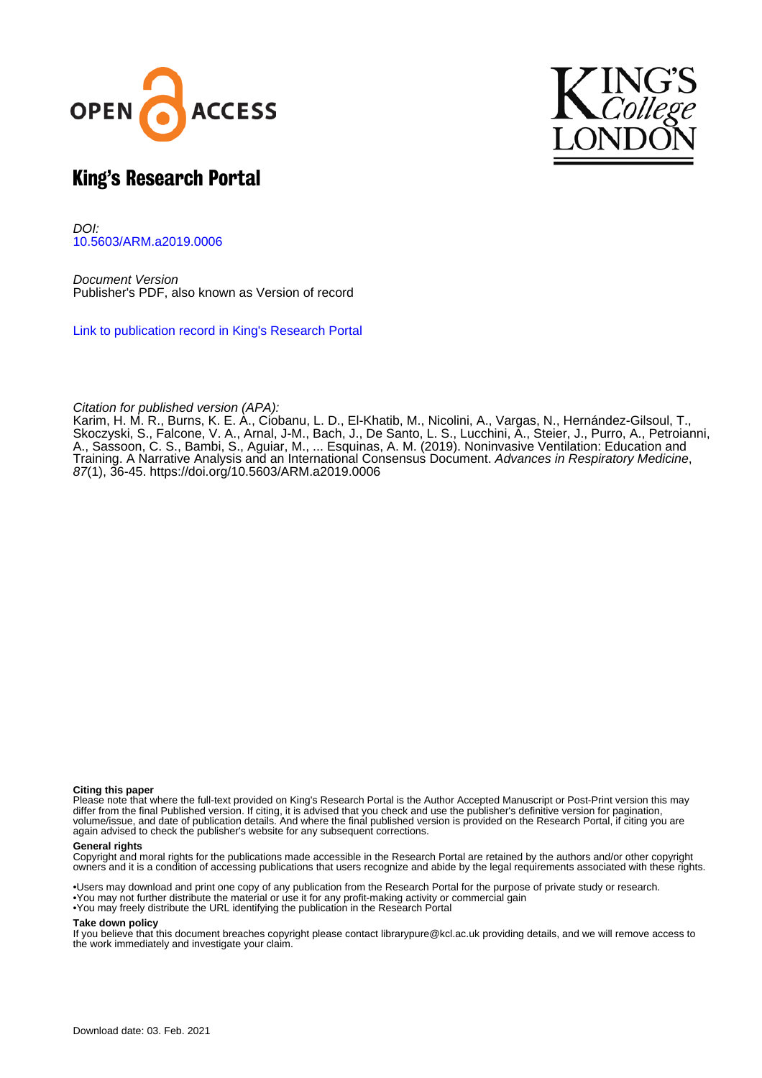



# King's Research Portal

DOI: [10.5603/ARM.a2019.0006](https://doi.org/10.5603/ARM.a2019.0006)

Document Version Publisher's PDF, also known as Version of record

[Link to publication record in King's Research Portal](https://kclpure.kcl.ac.uk/portal/en/publications/noninvasive-ventilation(55fa7ff2-9255-410a-a952-063352fe8aee).html)

Citation for published version (APA):

Karim, H. M. R., Burns, K. E. A., Ciobanu, L. D., El-Khatib, M., Nicolini, A., Vargas, N., Hernández-Gilsoul, T., Skoczyski, S., Falcone, V. A., Arnal, J-M., Bach, J., De Santo, L. S., Lucchini, A[., Steier, J.](https://kclpure.kcl.ac.uk/portal/en/persons/joerg-steier(50ec324d-59a1-4b28-b2cf-531d8cca4a61).html), Purro, A., Petroianni, A., Sassoon, C. S., Bambi, S., Aguiar, M., ... Esquinas, A. M. (2019). [Noninvasive Ventilation: Education and](https://kclpure.kcl.ac.uk/portal/en/publications/noninvasive-ventilation(55fa7ff2-9255-410a-a952-063352fe8aee).html) [Training. A Narrative Analysis and an International Consensus Document](https://kclpure.kcl.ac.uk/portal/en/publications/noninvasive-ventilation(55fa7ff2-9255-410a-a952-063352fe8aee).html). [Advances in Respiratory Medicine](https://kclpure.kcl.ac.uk/portal/en/journals/advances-in-respiratory-medicine(6ef97542-a514-4d64-910c-3f5e78fdaddd).html), 87(1), 36-45.<https://doi.org/10.5603/ARM.a2019.0006>

#### **Citing this paper**

Please note that where the full-text provided on King's Research Portal is the Author Accepted Manuscript or Post-Print version this may differ from the final Published version. If citing, it is advised that you check and use the publisher's definitive version for pagination, volume/issue, and date of publication details. And where the final published version is provided on the Research Portal, if citing you are again advised to check the publisher's website for any subsequent corrections.

#### **General rights**

Copyright and moral rights for the publications made accessible in the Research Portal are retained by the authors and/or other copyright owners and it is a condition of accessing publications that users recognize and abide by the legal requirements associated with these rights.

•Users may download and print one copy of any publication from the Research Portal for the purpose of private study or research. •You may not further distribute the material or use it for any profit-making activity or commercial gain •You may freely distribute the URL identifying the publication in the Research Portal

#### **Take down policy**

If you believe that this document breaches copyright please contact librarypure@kcl.ac.uk providing details, and we will remove access to the work immediately and investigate your claim.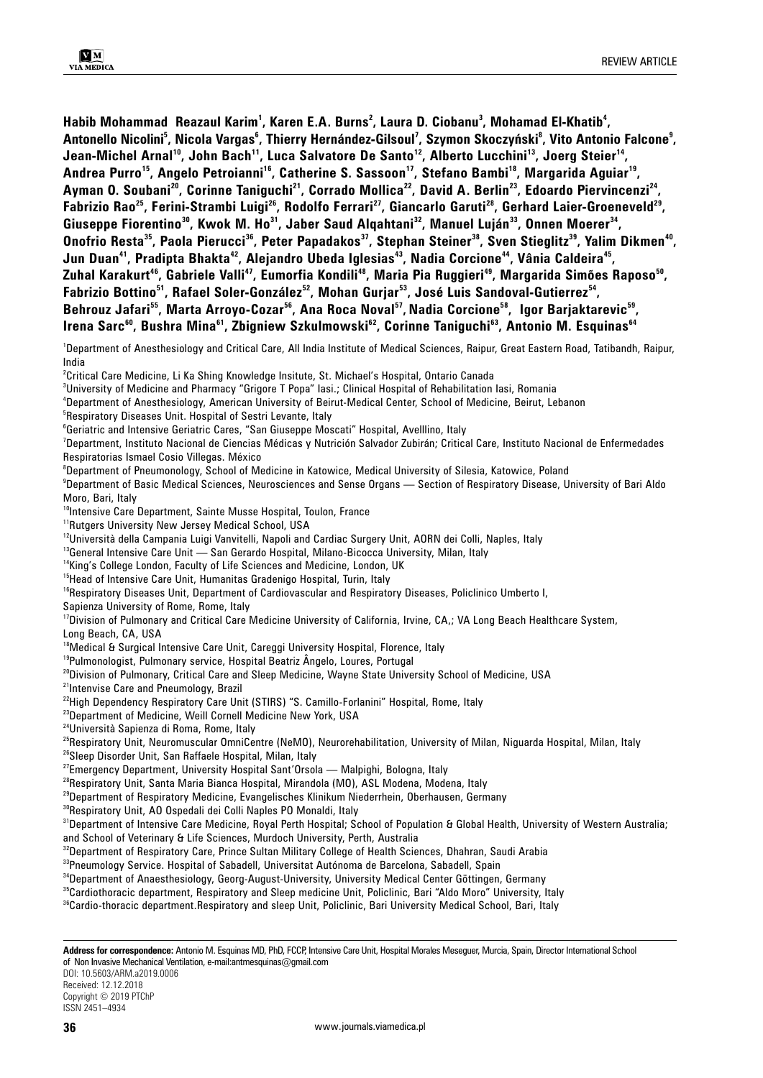Habib Mohammad Reazaul Karim<sup>1</sup>, Karen E.A. Burns<sup>2</sup>, Laura D. Ciobanu<sup>3</sup>, Mohamad El-Khatib<sup>4</sup>, Antonello Nicolini<sup>s</sup>, Nicola Vargas<sup>6</sup>, Thierry Hernández-Gilsoul<sup>7</sup>, Szymon Skoczyński<sup>8</sup>, Vito Antonio Falcone<sup>9</sup>, Jean-Michel Arnal<sup>10</sup>, John Bach<sup>11</sup>, Luca Salvatore De Santo<sup>12</sup>, Alberto Lucchini<sup>13</sup>, Joerg Steier<sup>14</sup>, **Andrea Purro15, Angelo Petroianni16, Catherine S. Sassoon17, Stefano Bambi18, Margarida Aguiar19,**  Ayman O. Soubani<sup>20</sup>, Corinne Taniguchi<sup>21</sup>, Corrado Mollica<sup>22</sup>, David A. Berlin<sup>23</sup>, Edoardo Piervincenzi<sup>24</sup>, **Fabrizio Rao25, Ferini-Strambi Luigi26, Rodolfo Ferrari27, Giancarlo Garuti28, Gerhard Laier-Groeneveld29,**  Giuseppe Fiorentino<sup>30</sup>, Kwok M. Ho<sup>31</sup>, Jaber Saud Alqahtani<sup>32</sup>, Manuel Luján<sup>33</sup>, Onnen Moerer<sup>34</sup>, Onofrio Resta<sup>35</sup>, Paola Pierucci<sup>36</sup>, Peter Papadakos<sup>37</sup>, Stephan Steiner<sup>38</sup>, Sven Stieglitz<sup>39</sup>, Yalim Dikmen<sup>40</sup>, Jun Duan<sup>41</sup>, Pradipta Bhakta<sup>42</sup>, Alejandro Ubeda Iglesias<sup>43</sup>, Nadia Corcione<sup>44</sup>, Vânia Caldeira<sup>45</sup>, Zuhal Karakurt<sup>46</sup>, Gabriele Valli<sup>47</sup>, Eumorfia Kondili<sup>48</sup>, Maria Pia Ruggieri<sup>49</sup>, Margarida Simões Raposo<sup>50</sup>, Fabrizio Bottino<sup>51</sup>, Rafael Soler-González<sup>52</sup>, Mohan Gurjar<sup>53</sup>, José Luis Sandoval-Gutierrez<sup>54</sup>, Behrouz Jafari<sup>55</sup>, Marta Arroyo-Cozar<sup>56</sup>, Ana Roca Noval<sup>57</sup>, Nadia Corcione<sup>58</sup>, Igor Barjaktarevic<sup>59</sup>, Irena Sarc<sup>60</sup>, Bushra Mina<sup>61</sup>, Zbigniew Szkulmowski<sup>62</sup>, Corinne Taniguchi<sup>63</sup>, Antonio M. Esquinas<sup>64</sup>

1 Department of Anesthesiology and Critical Care, All India Institute of Medical Sciences, Raipur, Great Eastern Road, Tatibandh, Raipur, India

 $^{\rm 2}$ Critical Care Medicine, Li Ka Shing Knowledge Insitute, St. Michael's Hospital, Ontario Canada

3 University of Medicine and Pharmacy "Grigore T Popa" Iasi.; Clinical Hospital of Rehabilitation Iasi, Romania

4 Department of Anesthesiology, American University of Beirut-Medical Center, School of Medicine, Beirut, Lebanon

5 Respiratory Diseases Unit. Hospital of Sestri Levante, Italy

6 Geriatric and Intensive Geriatric Cares, "San Giuseppe Moscati" Hospital, Avelllino, Italy

7 Department, Instituto Nacional de Ciencias Médicas y Nutrición Salvador Zubirán; Critical Care, Instituto Nacional de Enfermedades Respiratorias Ismael Cosio Villegas. México

8 Department of Pneumonology, School of Medicine in Katowice, Medical University of Silesia, Katowice, Poland

9 Department of Basic Medical Sciences, Neurosciences and Sense Organs — Section of Respiratory Disease, University of Bari Aldo Moro, Bari, Italy

<sup>10</sup>Intensive Care Department, Sainte Musse Hospital, Toulon, France

<sup>11</sup>Rutgers University New Jersey Medical School, USA

<sup>12</sup>Università della Campania Luigi Vanvitelli, Napoli and Cardiac Surgery Unit, AORN dei Colli, Naples, Italy

<sup>13</sup>General Intensive Care Unit — San Gerardo Hospital, Milano-Bicocca University, Milan, Italy

<sup>14</sup>King's College London, Faculty of Life Sciences and Medicine, London, UK

<sup>15</sup>Head of Intensive Care Unit, Humanitas Gradenigo Hospital, Turin, Italy

<sup>16</sup>Respiratory Diseases Unit, Department of Cardiovascular and Respiratory Diseases, Policlinico Umberto I,

Sapienza University of Rome, Rome, Italy

<sup>17</sup>Division of Pulmonary and Critical Care Medicine University of California, Irvine, CA,; VA Long Beach Healthcare System, Long Beach, CA, USA

<sup>18</sup>Medical & Surgical Intensive Care Unit, Careggi University Hospital, Florence, Italy

<sup>19</sup>Pulmonologist, Pulmonary service, Hospital Beatriz Ângelo, Loures, Portugal

<sup>20</sup>Division of Pulmonary, Critical Care and Sleep Medicine, Wayne State University School of Medicine, USA

<sup>21</sup>Intenvise Care and Pneumology, Brazil

<sup>22</sup>High Dependency Respiratory Care Unit (STIRS) "S. Camillo-Forlanini" Hospital, Rome, Italy

<sup>23</sup>Department of Medicine, Weill Cornell Medicine New York, USA

24Università Sapienza di Roma, Rome, Italy

<sup>25</sup>Respiratory Unit, Neuromuscular OmniCentre (NeMO), Neurorehabilitation, University of Milan, Niguarda Hospital, Milan, Italy

<sup>26</sup>Sleep Disorder Unit, San Raffaele Hospital, Milan, Italy

 $27$ Emergency Department, University Hospital Sant'Orsola — Malpighi, Bologna, Italy

<sup>28</sup>Respiratory Unit, Santa Maria Bianca Hospital, Mirandola (MO), ASL Modena, Modena, Italy

<sup>29</sup>Department of Respiratory Medicine, Evangelisches Klinikum Niederrhein, Oberhausen, Germany

30Respiratory Unit, AO Ospedali dei Colli Naples PO Monaldi, Italy

<sup>31</sup>Department of Intensive Care Medicine, Royal Perth Hospital; School of Population & Global Health, University of Western Australia;

and School of Veterinary & Life Sciences, Murdoch University, Perth, Australia

<sup>32</sup>Department of Respiratory Care, Prince Sultan Military College of Health Sciences, Dhahran, Saudi Arabia <sup>33</sup>Pneumology Service. Hospital of Sabadell, Universitat Autónoma de Barcelona, Sabadell, Spain

<sup>34</sup>Department of Anaesthesiology, Georg-August-University, University Medical Center Göttingen, Germany <sup>35</sup>Cardiothoracic department, Respiratory and Sleep medicine Unit, Policlinic, Bari "Aldo Moro" University, Italy

<sup>36</sup>Cardio-thoracic department.Respiratory and sleep Unit, Policlinic, Bari University Medical School, Bari, Italy

**Address for correspondence:** Antonio M. Esquinas MD, PhD, FCCP, Intensive Care Unit, Hospital Morales Meseguer, Murcia, Spain, Director International School of Non Invasive Mechanical Ventilation, e-mail:antmesquinas@gmail.com

DOI: 10.5603/ARM.a2019.0006

Received: 12.12.2018 Copyright © 2019 PTChP

ISSN 2451–4934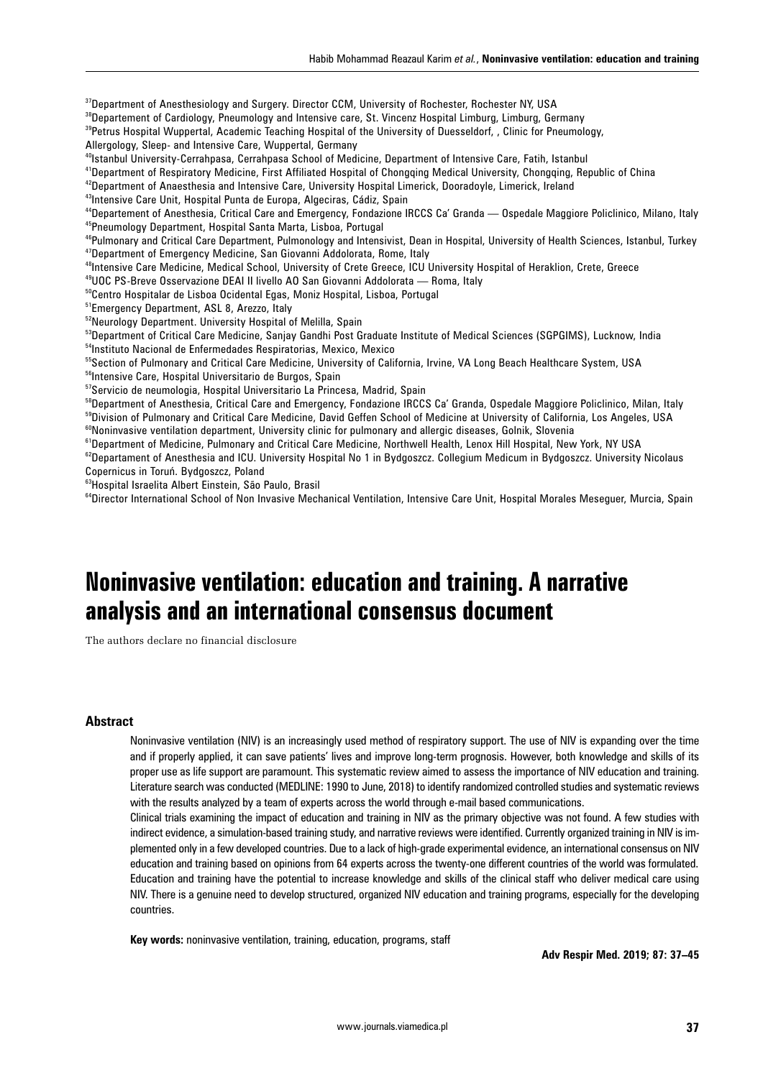37Department of Anesthesiology and Surgery. Director CCM, University of Rochester, Rochester NY, USA

<sup>38</sup>Departement of Cardiology, Pneumology and Intensive care, St. Vincenz Hospital Limburg, Limburg, Germany

<sup>39</sup>Petrus Hospital Wuppertal, Academic Teaching Hospital of the University of Duesseldorf, , Clinic for Pneumology,

Allergology, Sleep- and Intensive Care, Wuppertal, Germany

40Istanbul University-Cerrahpasa, Cerrahpasa School of Medicine, Department of Intensive Care, Fatih, Istanbul

41Department of Respiratory Medicine, First Affiliated Hospital of Chongqing Medical University, Chongqing, Republic of China

<sup>42</sup>Department of Anaesthesia and Intensive Care, University Hospital Limerick, Dooradoyle, Limerick, Ireland

<sup>43</sup>Intensive Care Unit, Hospital Punta de Europa, Algeciras, Cádiz, Spain

44Departement of Anesthesia, Critical Care and Emergency, Fondazione IRCCS Ca' Granda — Ospedale Maggiore Policlinico, Milano, Italy 45Pneumology Department, Hospital Santa Marta, Lisboa, Portugal

<sup>46</sup>Pulmonary and Critical Care Department, Pulmonology and Intensivist, Dean in Hospital, University of Health Sciences, Istanbul, Turkey 47Department of Emergency Medicine, San Giovanni Addolorata, Rome, Italy

48Intensive Care Medicine, Medical School, University of Crete Greece, ICU University Hospital of Heraklion, Crete, Greece

49UOC PS-Breve Osservazione DEAI II livello AO San Giovanni Addolorata — Roma, Italy

50Centro Hospitalar de Lisboa Ocidental Egas, Moniz Hospital, Lisboa, Portugal

<sup>51</sup>Emergency Department, ASL 8, Arezzo, Italy

52Neurology Department. University Hospital of Melilla, Spain

53Department of Critical Care Medicine, Sanjay Gandhi Post Graduate Institute of Medical Sciences (SGPGIMS), Lucknow, India <sup>54</sup>Instituto Nacional de Enfermedades Respiratorias, Mexico, Mexico

<sup>55</sup>Section of Pulmonary and Critical Care Medicine, University of California, Irvine, VA Long Beach Healthcare System, USA

56Intensive Care, Hospital Universitario de Burgos, Spain

57 Servicio de neumologia, Hospital Universitario La Princesa, Madrid, Spain

<sup>58</sup>Department of Anesthesia, Critical Care and Emergency, Fondazione IRCCS Ca' Granda, Ospedale Maggiore Policlinico, Milan, Italy 59Division of Pulmonary and Critical Care Medicine, David Geffen School of Medicine at University of California, Los Angeles, USA

<sup>60</sup>Noninvasive ventilation department, University clinic for pulmonary and allergic diseases, Golnik, Slovenia

<sup>61</sup>Department of Medicine, Pulmonary and Critical Care Medicine, Northwell Health, Lenox Hill Hospital, New York, NY USA <sup>62</sup>Departament of Anesthesia and ICU. University Hospital No 1 in Bydgoszcz. Collegium Medicum in Bydgoszcz. University Nicolaus Copernicus in Toruń. Bydgoszcz, Poland

<sup>63</sup>Hospital Israelita Albert Einstein, São Paulo, Brasil

<sup>64</sup>Director International School of Non Invasive Mechanical Ventilation, Intensive Care Unit, Hospital Morales Meseguer, Murcia, Spain

# **Noninvasive ventilation: education and training. A narrative analysis and an international consensus document**

The authors declare no financial disclosure

### **Abstract**

Noninvasive ventilation (NIV) is an increasingly used method of respiratory support. The use of NIV is expanding over the time and if properly applied, it can save patients' lives and improve long-term prognosis. However, both knowledge and skills of its proper use as life support are paramount. This systematic review aimed to assess the importance of NIV education and training. Literature search was conducted (MEDLINE: 1990 to June, 2018) to identify randomized controlled studies and systematic reviews with the results analyzed by a team of experts across the world through e-mail based communications.

Clinical trials examining the impact of education and training in NIV as the primary objective was not found. A few studies with indirect evidence, a simulation-based training study, and narrative reviews were identified. Currently organized training in NIV is implemented only in a few developed countries. Due to a lack of high-grade experimental evidence, an international consensus on NIV education and training based on opinions from 64 experts across the twenty-one different countries of the world was formulated. Education and training have the potential to increase knowledge and skills of the clinical staff who deliver medical care using NIV. There is a genuine need to develop structured, organized NIV education and training programs, especially for the developing countries.

**Key words:** noninvasive ventilation, training, education, programs, staff

**Adv Respir Med. 2019; 87: 37–45**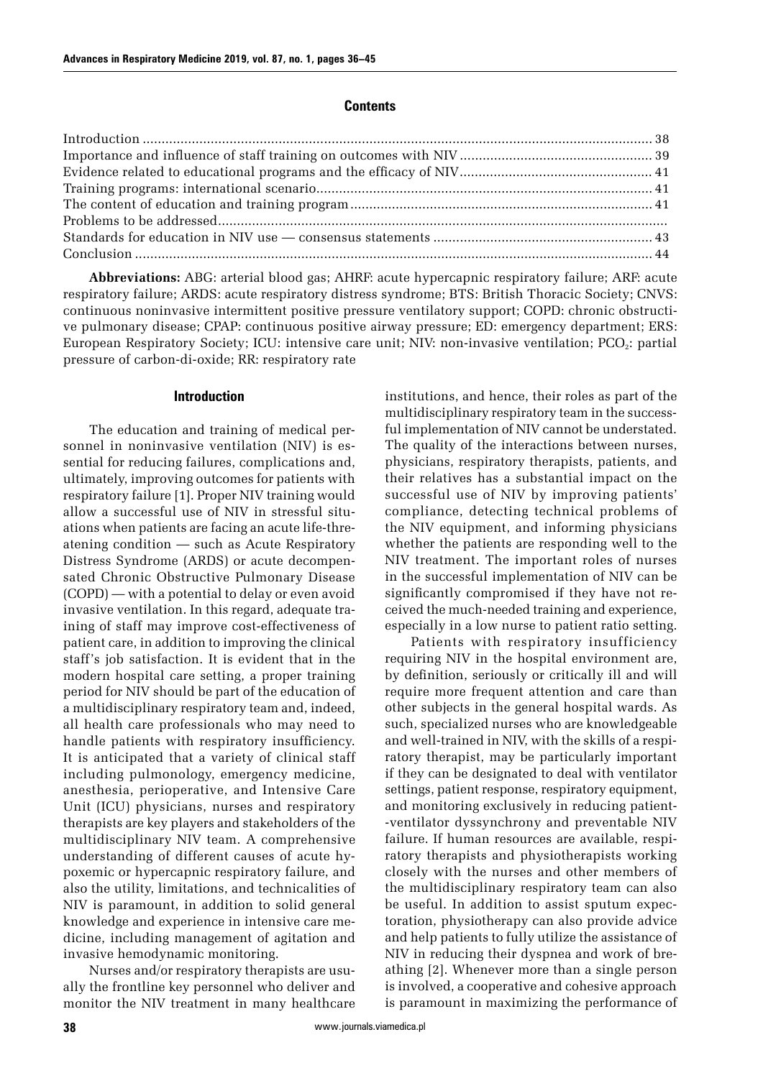## **Contents**

**Abbreviations:** ABG: arterial blood gas; AHRF: acute hypercapnic respiratory failure; ARF: acute respiratory failure; ARDS: acute respiratory distress syndrome; BTS: British Thoracic Society; CNVS: continuous noninvasive intermittent positive pressure ventilatory support; COPD: chronic obstructive pulmonary disease; CPAP: continuous positive airway pressure; ED: emergency department; ERS: European Respiratory Society; ICU: intensive care unit; NIV: non-invasive ventilation; PCO<sub>2</sub>: partial pressure of carbon-di-oxide; RR: respiratory rate

### **Introduction**

The education and training of medical personnel in noninvasive ventilation (NIV) is essential for reducing failures, complications and, ultimately, improving outcomes for patients with respiratory failure [1]. Proper NIV training would allow a successful use of NIV in stressful situations when patients are facing an acute life-threatening condition — such as Acute Respiratory Distress Syndrome (ARDS) or acute decompensated Chronic Obstructive Pulmonary Disease (COPD) — with a potential to delay or even avoid invasive ventilation. In this regard, adequate training of staff may improve cost-effectiveness of patient care, in addition to improving the clinical staff's job satisfaction. It is evident that in the modern hospital care setting, a proper training period for NIV should be part of the education of a multidisciplinary respiratory team and, indeed, all health care professionals who may need to handle patients with respiratory insufficiency. It is anticipated that a variety of clinical staff including pulmonology, emergency medicine, anesthesia, perioperative, and Intensive Care Unit (ICU) physicians, nurses and respiratory therapists are key players and stakeholders of the multidisciplinary NIV team. A comprehensive understanding of different causes of acute hypoxemic or hypercapnic respiratory failure, and also the utility, limitations, and technicalities of NIV is paramount, in addition to solid general knowledge and experience in intensive care medicine, including management of agitation and invasive hemodynamic monitoring.

Nurses and/or respiratory therapists are usually the frontline key personnel who deliver and monitor the NIV treatment in many healthcare institutions, and hence, their roles as part of the multidisciplinary respiratory team in the successful implementation of NIV cannot be understated. The quality of the interactions between nurses, physicians, respiratory therapists, patients, and their relatives has a substantial impact on the successful use of NIV by improving patients' compliance, detecting technical problems of the NIV equipment, and informing physicians whether the patients are responding well to the NIV treatment. The important roles of nurses in the successful implementation of NIV can be significantly compromised if they have not received the much-needed training and experience, especially in a low nurse to patient ratio setting.

Patients with respiratory insufficiency requiring NIV in the hospital environment are, by definition, seriously or critically ill and will require more frequent attention and care than other subjects in the general hospital wards. As such, specialized nurses who are knowledgeable and well-trained in NIV, with the skills of a respiratory therapist, may be particularly important if they can be designated to deal with ventilator settings, patient response, respiratory equipment, and monitoring exclusively in reducing patient- -ventilator dyssynchrony and preventable NIV failure. If human resources are available, respiratory therapists and physiotherapists working closely with the nurses and other members of the multidisciplinary respiratory team can also be useful. In addition to assist sputum expectoration, physiotherapy can also provide advice and help patients to fully utilize the assistance of NIV in reducing their dyspnea and work of breathing [2]. Whenever more than a single person is involved, a cooperative and cohesive approach is paramount in maximizing the performance of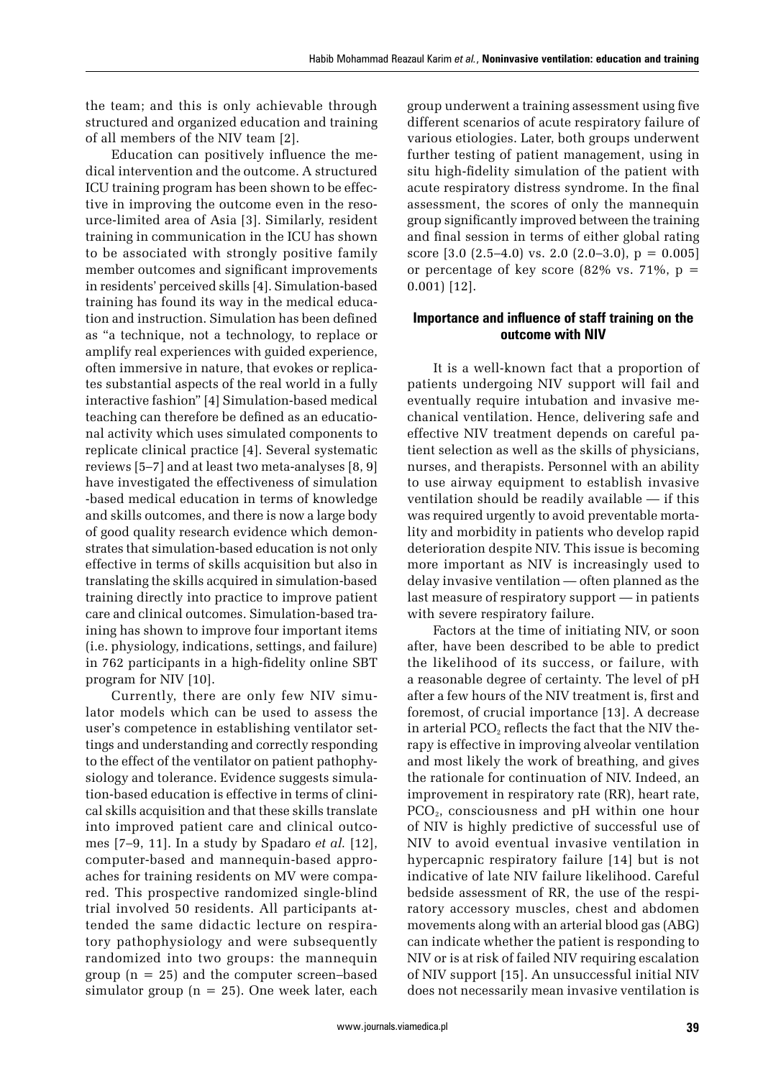the team; and this is only achievable through structured and organized education and training of all members of the NIV team [2].

Education can positively influence the medical intervention and the outcome. A structured ICU training program has been shown to be effective in improving the outcome even in the resource-limited area of Asia [3]. Similarly, resident training in communication in the ICU has shown to be associated with strongly positive family member outcomes and significant improvements in residents' perceived skills [4]. Simulation-based training has found its way in the medical education and instruction. Simulation has been defined as "a technique, not a technology, to replace or amplify real experiences with guided experience, often immersive in nature, that evokes or replicates substantial aspects of the real world in a fully interactive fashion" [4] Simulation-based medical teaching can therefore be defined as an educational activity which uses simulated components to replicate clinical practice [4]. Several systematic reviews [5–7] and at least two meta-analyses [8, 9] have investigated the effectiveness of simulation -based medical education in terms of knowledge and skills outcomes, and there is now a large body of good quality research evidence which demonstrates that simulation-based education is not only effective in terms of skills acquisition but also in translating the skills acquired in simulation-based training directly into practice to improve patient care and clinical outcomes. Simulation-based training has shown to improve four important items (i.e. physiology, indications, settings, and failure) in 762 participants in a high-fidelity online SBT program for NIV [10].

Currently, there are only few NIV simulator models which can be used to assess the user's competence in establishing ventilator settings and understanding and correctly responding to the effect of the ventilator on patient pathophysiology and tolerance. Evidence suggests simulation-based education is effective in terms of clinical skills acquisition and that these skills translate into improved patient care and clinical outcomes [7–9, 11]. In a study by Spadaro *et al.* [12], computer-based and mannequin-based approaches for training residents on MV were compared. This prospective randomized single-blind trial involved 50 residents. All participants attended the same didactic lecture on respiratory pathophysiology and were subsequently randomized into two groups: the mannequin group ( $n = 25$ ) and the computer screen–based simulator group ( $n = 25$ ). One week later, each

group underwent a training assessment using five different scenarios of acute respiratory failure of various etiologies. Later, both groups underwent further testing of patient management, using in situ high-fidelity simulation of the patient with acute respiratory distress syndrome. In the final assessment, the scores of only the mannequin group significantly improved between the training and final session in terms of either global rating score  $[3.0 (2.5-4.0) \text{ vs. } 2.0 (2.0-3.0), \text{ p} = 0.005]$ or percentage of key score (82% vs. 71%,  $p =$ 0.001) [12].

# **Importance and influence of staff training on the outcome with NIV**

It is a well-known fact that a proportion of patients undergoing NIV support will fail and eventually require intubation and invasive mechanical ventilation. Hence, delivering safe and effective NIV treatment depends on careful patient selection as well as the skills of physicians, nurses, and therapists. Personnel with an ability to use airway equipment to establish invasive ventilation should be readily available — if this was required urgently to avoid preventable mortality and morbidity in patients who develop rapid deterioration despite NIV. This issue is becoming more important as NIV is increasingly used to delay invasive ventilation — often planned as the last measure of respiratory support — in patients with severe respiratory failure.

Factors at the time of initiating NIV, or soon after, have been described to be able to predict the likelihood of its success, or failure, with a reasonable degree of certainty. The level of pH after a few hours of the NIV treatment is, first and foremost, of crucial importance [13]. A decrease in arterial  $PCO<sub>2</sub>$  reflects the fact that the NIV therapy is effective in improving alveolar ventilation and most likely the work of breathing, and gives the rationale for continuation of NIV. Indeed, an improvement in respiratory rate (RR), heart rate, PCO2, consciousness and pH within one hour of NIV is highly predictive of successful use of NIV to avoid eventual invasive ventilation in hypercapnic respiratory failure [14] but is not indicative of late NIV failure likelihood. Careful bedside assessment of RR, the use of the respiratory accessory muscles, chest and abdomen movements along with an arterial blood gas (ABG) can indicate whether the patient is responding to NIV or is at risk of failed NIV requiring escalation of NIV support [15]. An unsuccessful initial NIV does not necessarily mean invasive ventilation is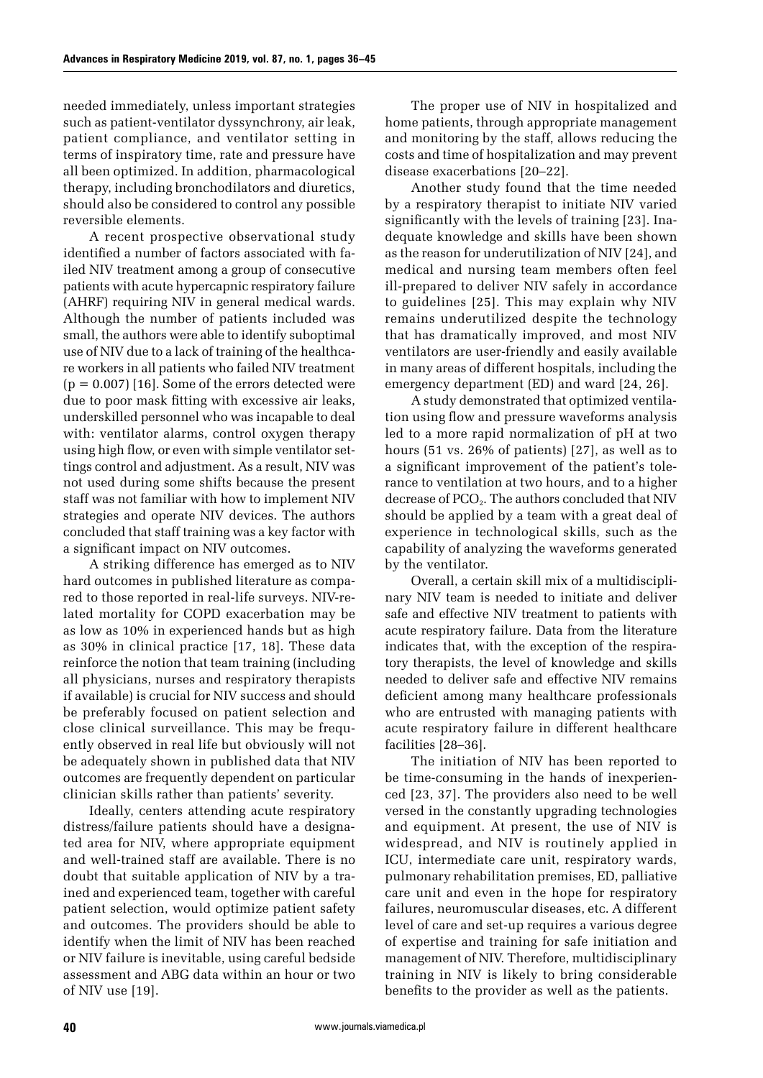needed immediately, unless important strategies such as patient-ventilator dyssynchrony, air leak, patient compliance, and ventilator setting in terms of inspiratory time, rate and pressure have all been optimized. In addition, pharmacological therapy, including bronchodilators and diuretics, should also be considered to control any possible reversible elements.

A recent prospective observational study identified a number of factors associated with failed NIV treatment among a group of consecutive patients with acute hypercapnic respiratory failure (AHRF) requiring NIV in general medical wards. Although the number of patients included was small, the authors were able to identify suboptimal use of NIV due to a lack of training of the healthcare workers in all patients who failed NIV treatment  $(p = 0.007)$  [16]. Some of the errors detected were due to poor mask fitting with excessive air leaks, underskilled personnel who was incapable to deal with: ventilator alarms, control oxygen therapy using high flow, or even with simple ventilator settings control and adjustment. As a result, NIV was not used during some shifts because the present staff was not familiar with how to implement NIV strategies and operate NIV devices. The authors concluded that staff training was a key factor with a significant impact on NIV outcomes.

A striking difference has emerged as to NIV hard outcomes in published literature as compared to those reported in real-life surveys. NIV-related mortality for COPD exacerbation may be as low as 10% in experienced hands but as high as 30% in clinical practice [17, 18]. These data reinforce the notion that team training (including all physicians, nurses and respiratory therapists if available) is crucial for NIV success and should be preferably focused on patient selection and close clinical surveillance. This may be frequently observed in real life but obviously will not be adequately shown in published data that NIV outcomes are frequently dependent on particular clinician skills rather than patients' severity.

Ideally, centers attending acute respiratory distress/failure patients should have a designated area for NIV, where appropriate equipment and well-trained staff are available. There is no doubt that suitable application of NIV by a trained and experienced team, together with careful patient selection, would optimize patient safety and outcomes. The providers should be able to identify when the limit of NIV has been reached or NIV failure is inevitable, using careful bedside assessment and ABG data within an hour or two of NIV use [19].

The proper use of NIV in hospitalized and home patients, through appropriate management and monitoring by the staff, allows reducing the costs and time of hospitalization and may prevent disease exacerbations [20–22].

Another study found that the time needed by a respiratory therapist to initiate NIV varied significantly with the levels of training [23]. Inadequate knowledge and skills have been shown as the reason for underutilization of NIV [24], and medical and nursing team members often feel ill-prepared to deliver NIV safely in accordance to guidelines [25]. This may explain why NIV remains underutilized despite the technology that has dramatically improved, and most NIV ventilators are user-friendly and easily available in many areas of different hospitals, including the emergency department (ED) and ward [24, 26].

A study demonstrated that optimized ventilation using flow and pressure waveforms analysis led to a more rapid normalization of pH at two hours (51 vs. 26% of patients) [27], as well as to a significant improvement of the patient's tolerance to ventilation at two hours, and to a higher decrease of  $PCO<sub>2</sub>$ . The authors concluded that NIV should be applied by a team with a great deal of experience in technological skills, such as the capability of analyzing the waveforms generated by the ventilator.

Overall, a certain skill mix of a multidisciplinary NIV team is needed to initiate and deliver safe and effective NIV treatment to patients with acute respiratory failure. Data from the literature indicates that, with the exception of the respiratory therapists, the level of knowledge and skills needed to deliver safe and effective NIV remains deficient among many healthcare professionals who are entrusted with managing patients with acute respiratory failure in different healthcare facilities [28–36].

The initiation of NIV has been reported to be time-consuming in the hands of inexperienced [23, 37]. The providers also need to be well versed in the constantly upgrading technologies and equipment. At present, the use of NIV is widespread, and NIV is routinely applied in ICU, intermediate care unit, respiratory wards, pulmonary rehabilitation premises, ED, palliative care unit and even in the hope for respiratory failures, neuromuscular diseases, etc. A different level of care and set-up requires a various degree of expertise and training for safe initiation and management of NIV. Therefore, multidisciplinary training in NIV is likely to bring considerable benefits to the provider as well as the patients.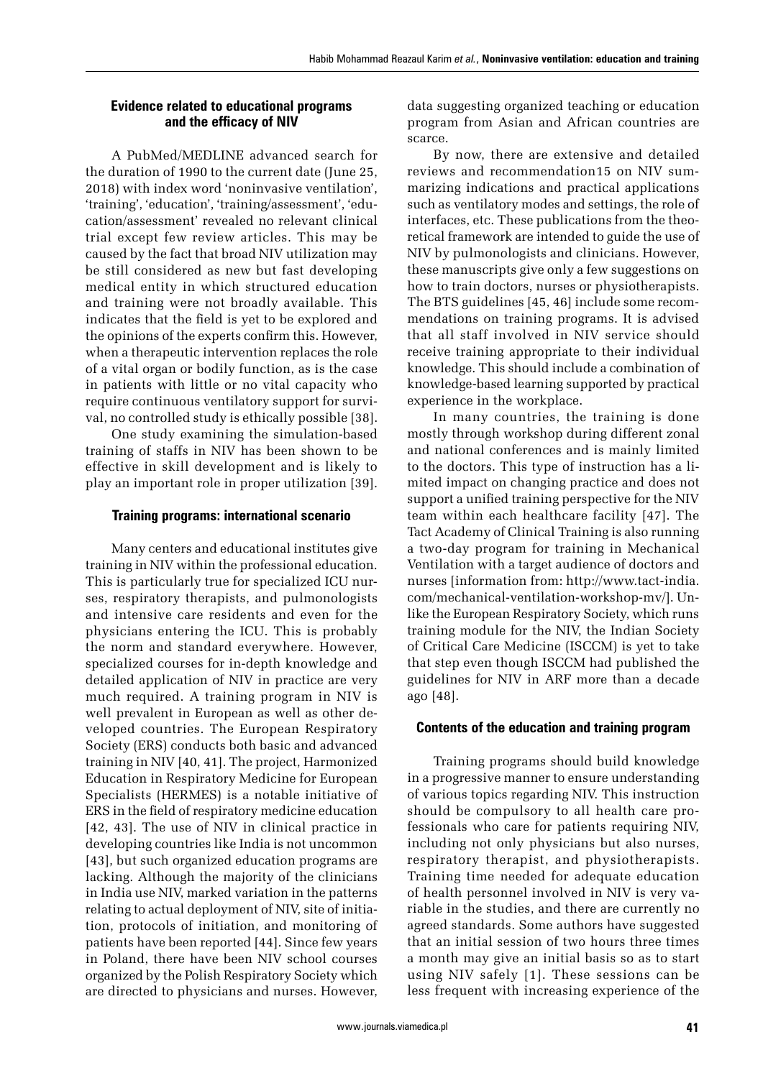## **Evidence related to educational programs and the efficacy of NIV**

A PubMed/MEDLINE advanced search for the duration of 1990 to the current date (June 25, 2018) with index word 'noninvasive ventilation', 'training', 'education', 'training/assessment', 'education/assessment' revealed no relevant clinical trial except few review articles. This may be caused by the fact that broad NIV utilization may be still considered as new but fast developing medical entity in which structured education and training were not broadly available. This indicates that the field is yet to be explored and the opinions of the experts confirm this. However, when a therapeutic intervention replaces the role of a vital organ or bodily function, as is the case in patients with little or no vital capacity who require continuous ventilatory support for survival, no controlled study is ethically possible [38].

One study examining the simulation-based training of staffs in NIV has been shown to be effective in skill development and is likely to play an important role in proper utilization [39].

## **Training programs: international scenario**

Many centers and educational institutes give training in NIV within the professional education. This is particularly true for specialized ICU nurses, respiratory therapists, and pulmonologists and intensive care residents and even for the physicians entering the ICU. This is probably the norm and standard everywhere. However, specialized courses for in-depth knowledge and detailed application of NIV in practice are very much required. A training program in NIV is well prevalent in European as well as other developed countries. The European Respiratory Society (ERS) conducts both basic and advanced training in NIV [40, 41]. The project, Harmonized Education in Respiratory Medicine for European Specialists (HERMES) is a notable initiative of ERS in the field of respiratory medicine education [42, 43]. The use of NIV in clinical practice in developing countries like India is not uncommon [43], but such organized education programs are lacking. Although the majority of the clinicians in India use NIV, marked variation in the patterns relating to actual deployment of NIV, site of initiation, protocols of initiation, and monitoring of patients have been reported [44]. Since few years in Poland, there have been NIV school courses organized by the Polish Respiratory Society which are directed to physicians and nurses. However,

data suggesting organized teaching or education program from Asian and African countries are scarce.

By now, there are extensive and detailed reviews and recommendation15 on NIV summarizing indications and practical applications such as ventilatory modes and settings, the role of interfaces, etc. These publications from the theoretical framework are intended to guide the use of NIV by pulmonologists and clinicians. However, these manuscripts give only a few suggestions on how to train doctors, nurses or physiotherapists. The BTS guidelines [45, 46] include some recommendations on training programs. It is advised that all staff involved in NIV service should receive training appropriate to their individual knowledge. This should include a combination of knowledge-based learning supported by practical experience in the workplace.

In many countries, the training is done mostly through workshop during different zonal and national conferences and is mainly limited to the doctors. This type of instruction has a limited impact on changing practice and does not support a unified training perspective for the NIV team within each healthcare facility [47]. The Tact Academy of Clinical Training is also running a two-day program for training in Mechanical Ventilation with a target audience of doctors and nurses [information from: [http://www.tact-india.](http://www.tact-india.com/mechanical-ventilation-workshop-mv/) [com/mechanical-ventilation-workshop-mv/](http://www.tact-india.com/mechanical-ventilation-workshop-mv/)]. Unlike the European Respiratory Society, which runs training module for the NIV, the Indian Society of Critical Care Medicine (ISCCM) is yet to take that step even though ISCCM had published the guidelines for NIV in ARF more than a decade ago [48].

# **Contents of the education and training program**

Training programs should build knowledge in a progressive manner to ensure understanding of various topics regarding NIV. This instruction should be compulsory to all health care professionals who care for patients requiring NIV, including not only physicians but also nurses, respiratory therapist, and physiotherapists. Training time needed for adequate education of health personnel involved in NIV is very variable in the studies, and there are currently no agreed standards. Some authors have suggested that an initial session of two hours three times a month may give an initial basis so as to start using NIV safely [1]. These sessions can be less frequent with increasing experience of the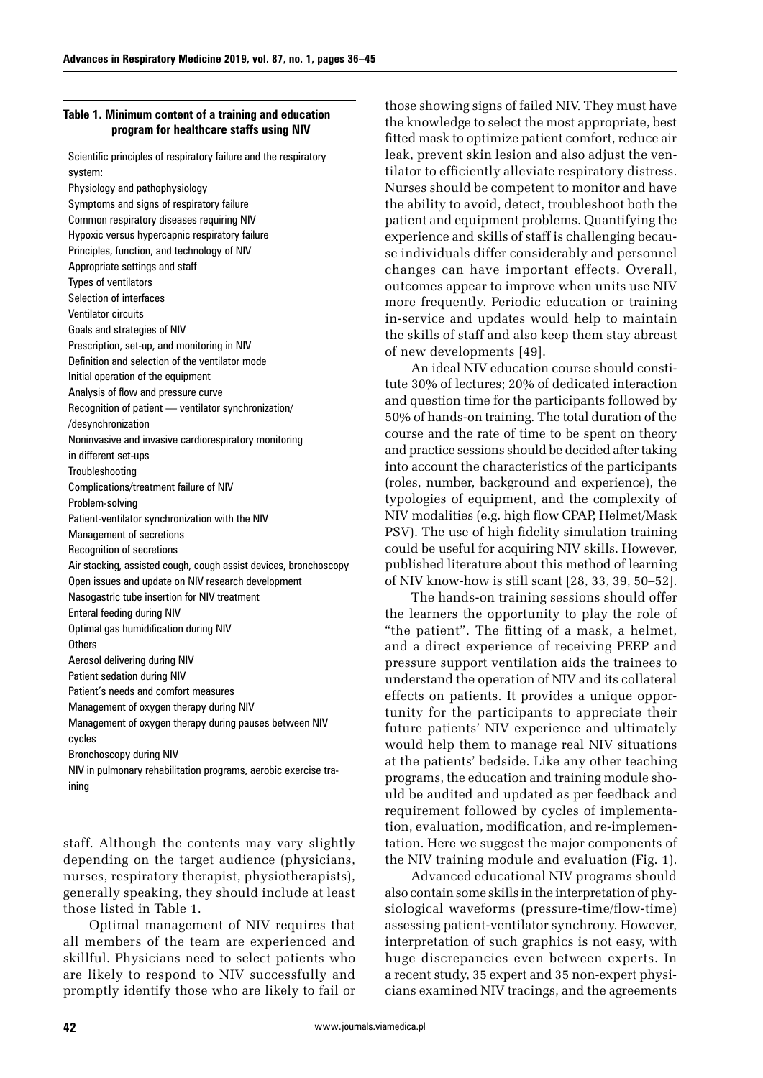## **Table 1. Minimum content of a training and education program for healthcare staffs using NIV**

Scientific principles of respiratory failure and the respiratory system: Physiology and pathophysiology Symptoms and signs of respiratory failure Common respiratory diseases requiring NIV Hypoxic versus hypercapnic respiratory failure Principles, function, and technology of NIV Appropriate settings and staff Types of ventilators Selection of interfaces Ventilator circuits Goals and strategies of NIV Prescription, set-up, and monitoring in NIV Definition and selection of the ventilator mode Initial operation of the equipment Analysis of flow and pressure curve Recognition of patient — ventilator synchronization/ /desynchronization Noninvasive and invasive cardiorespiratory monitoring in different set-ups Troubleshooting Complications/treatment failure of NIV Problem-solving Patient-ventilator synchronization with the NIV Management of secretions Recognition of secretions Air stacking, assisted cough, cough assist devices, bronchoscopy Open issues and update on NIV research development Nasogastric tube insertion for NIV treatment Enteral feeding during NIV Optimal gas humidification during NIV **Others** Aerosol delivering during NIV Patient sedation during NIV Patient's needs and comfort measures Management of oxygen therapy during NIV Management of oxygen therapy during pauses between NIV cycles Bronchoscopy during NIV NIV in pulmonary rehabilitation programs, aerobic exercise training

staff. Although the contents may vary slightly depending on the target audience (physicians, nurses, respiratory therapist, physiotherapists), generally speaking, they should include at least those listed in Table 1.

Optimal management of NIV requires that all members of the team are experienced and skillful. Physicians need to select patients who are likely to respond to NIV successfully and promptly identify those who are likely to fail or those showing signs of failed NIV. They must have the knowledge to select the most appropriate, best fitted mask to optimize patient comfort, reduce air leak, prevent skin lesion and also adjust the ventilator to efficiently alleviate respiratory distress. Nurses should be competent to monitor and have the ability to avoid, detect, troubleshoot both the patient and equipment problems. Quantifying the experience and skills of staff is challenging because individuals differ considerably and personnel changes can have important effects. Overall, outcomes appear to improve when units use NIV more frequently. Periodic education or training in-service and updates would help to maintain the skills of staff and also keep them stay abreast of new developments [49].

An ideal NIV education course should constitute 30% of lectures; 20% of dedicated interaction and question time for the participants followed by 50% of hands-on training. The total duration of the course and the rate of time to be spent on theory and practice sessions should be decided after taking into account the characteristics of the participants (roles, number, background and experience), the typologies of equipment, and the complexity of NIV modalities (e.g. high flow CPAP, Helmet/Mask PSV). The use of high fidelity simulation training could be useful for acquiring NIV skills. However, published literature about this method of learning of NIV know-how is still scant [28, 33, 39, 50–52].

The hands-on training sessions should offer the learners the opportunity to play the role of "the patient". The fitting of a mask, a helmet, and a direct experience of receiving PEEP and pressure support ventilation aids the trainees to understand the operation of NIV and its collateral effects on patients. It provides a unique opportunity for the participants to appreciate their future patients' NIV experience and ultimately would help them to manage real NIV situations at the patients' bedside. Like any other teaching programs, the education and training module should be audited and updated as per feedback and requirement followed by cycles of implementation, evaluation, modification, and re-implementation. Here we suggest the major components of the NIV training module and evaluation (Fig. 1).

Advanced educational NIV programs should also contain some skills in the interpretation of physiological waveforms (pressure-time/flow-time) assessing patient-ventilator synchrony. However, interpretation of such graphics is not easy, with huge discrepancies even between experts. In a recent study, 35 expert and 35 non-expert physicians examined NIV tracings, and the agreements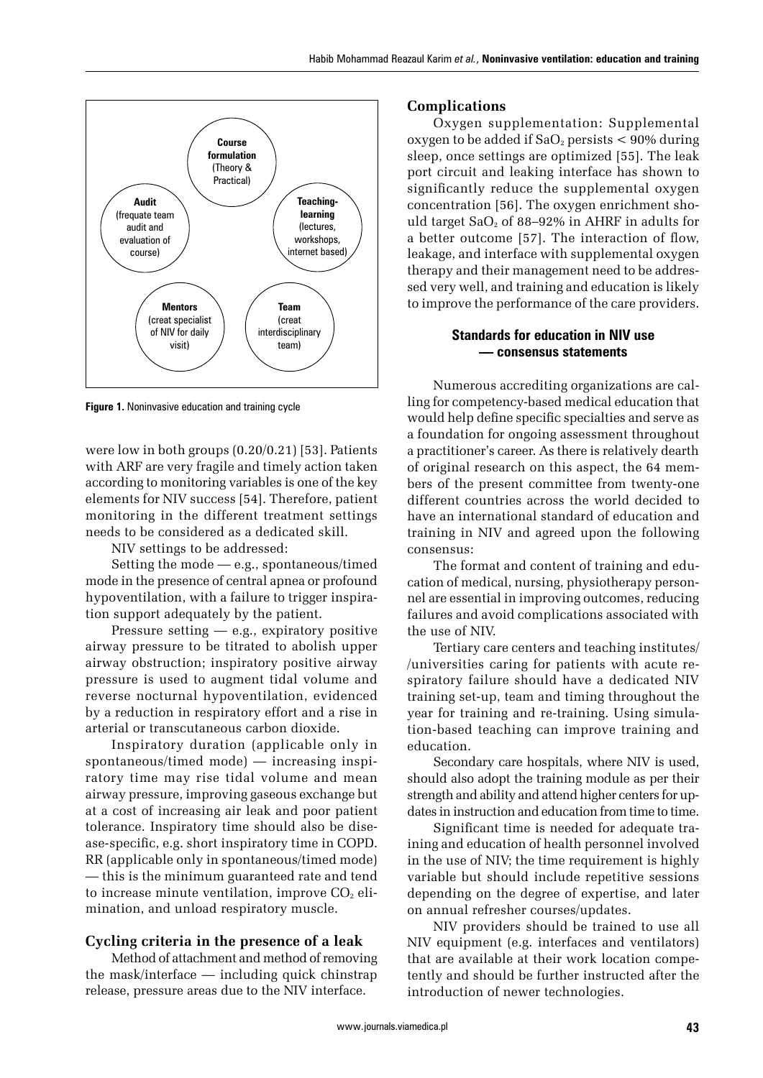

**Figure 1.** Noninvasive education and training cycle

were low in both groups (0.20/0.21) [53]. Patients with ARF are very fragile and timely action taken according to monitoring variables is one of the key elements for NIV success [54]. Therefore, patient monitoring in the different treatment settings needs to be considered as a dedicated skill.

NIV settings to be addressed:

Setting the mode — e.g., spontaneous/timed mode in the presence of central apnea or profound hypoventilation, with a failure to trigger inspiration support adequately by the patient.

Pressure setting — e.g., expiratory positive airway pressure to be titrated to abolish upper airway obstruction; inspiratory positive airway pressure is used to augment tidal volume and reverse nocturnal hypoventilation, evidenced by a reduction in respiratory effort and a rise in arterial or transcutaneous carbon dioxide.

Inspiratory duration (applicable only in spontaneous/timed mode) — increasing inspiratory time may rise tidal volume and mean airway pressure, improving gaseous exchange but at a cost of increasing air leak and poor patient tolerance. Inspiratory time should also be disease-specific, e.g. short inspiratory time in COPD. RR (applicable only in spontaneous/timed mode) — this is the minimum guaranteed rate and tend to increase minute ventilation, improve  $CO<sub>2</sub>$  elimination, and unload respiratory muscle.

## **Cycling criteria in the presence of a leak**

Method of attachment and method of removing the mask/interface — including quick chinstrap release, pressure areas due to the NIV interface.

## **Complications**

Oxygen supplementation: Supplemental oxygen to be added if  $SaO<sub>2</sub>$  persists  $\lt 90\%$  during sleep, once settings are optimized [55]. The leak port circuit and leaking interface has shown to significantly reduce the supplemental oxygen concentration [56]. The oxygen enrichment should target  $SaO<sub>2</sub>$  of 88–92% in AHRF in adults for a better outcome [57]. The interaction of flow, leakage, and interface with supplemental oxygen therapy and their management need to be addressed very well, and training and education is likely to improve the performance of the care providers.

## **Standards for education in NIV use — consensus statements**

Numerous accrediting organizations are calling for competency-based medical education that would help define specific specialties and serve as a foundation for ongoing assessment throughout a practitioner's career. As there is relatively dearth of original research on this aspect, the 64 members of the present committee from twenty-one different countries across the world decided to have an international standard of education and training in NIV and agreed upon the following consensus:

The format and content of training and education of medical, nursing, physiotherapy personnel are essential in improving outcomes, reducing failures and avoid complications associated with the use of NIV.

Tertiary care centers and teaching institutes/ /universities caring for patients with acute respiratory failure should have a dedicated NIV training set-up, team and timing throughout the year for training and re-training. Using simulation-based teaching can improve training and education.

Secondary care hospitals, where NIV is used, should also adopt the training module as per their strength and ability and attend higher centers for updates in instruction and education from time to time.

Significant time is needed for adequate training and education of health personnel involved in the use of NIV; the time requirement is highly variable but should include repetitive sessions depending on the degree of expertise, and later on annual refresher courses/updates.

NIV providers should be trained to use all NIV equipment (e.g. interfaces and ventilators) that are available at their work location competently and should be further instructed after the introduction of newer technologies.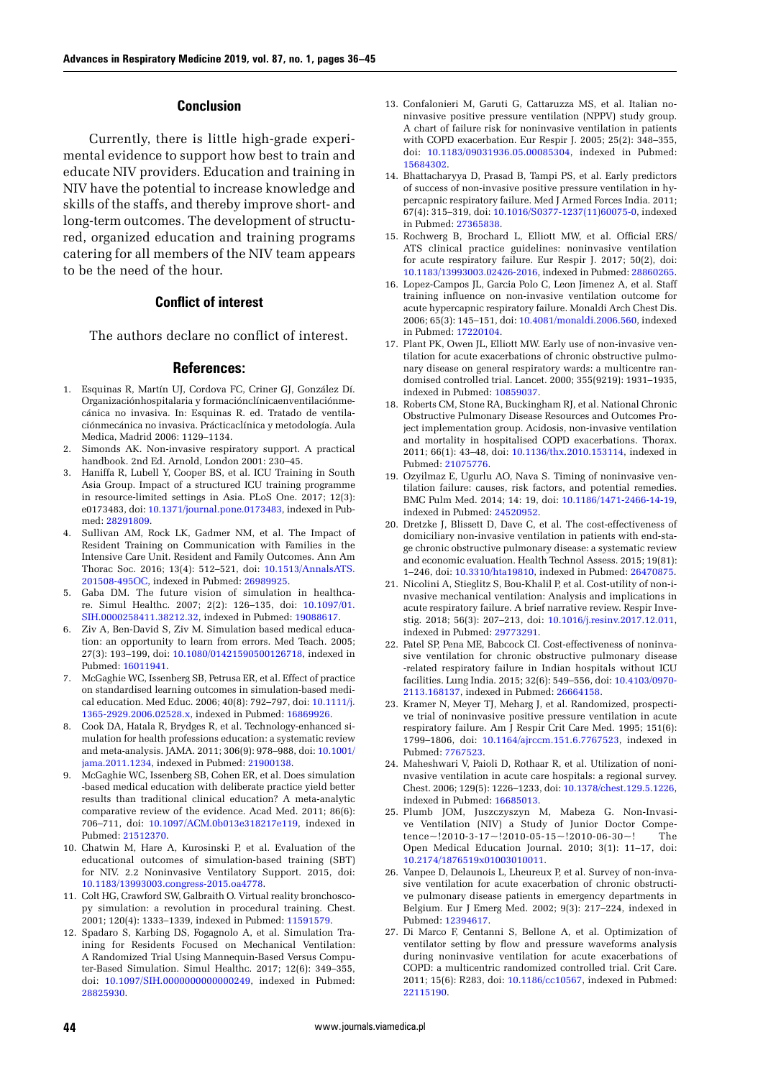### **Conclusion**

Currently, there is little high-grade experimental evidence to support how best to train and educate NIV providers. Education and training in NIV have the potential to increase knowledge and skills of the staffs, and thereby improve short- and long-term outcomes. The development of structured, organized education and training programs catering for all members of the NIV team appears to be the need of the hour.

## **Conflict of interest**

The authors declare no conflict of interest.

#### **References:**

- 1. Esquinas R, Martín UJ, Cordova FC, Criner GJ, González Dí. Organizaciónhospitalaria y formaciónclínicaenventilaciónmecánica no invasiva. In: Esquinas R. ed. Tratado de ventilaciónmecánica no invasiva. Prácticaclínica y metodología. Aula Medica, Madrid 2006: 1129–1134.
- 2. Simonds AK. Non-invasive respiratory support. A practical handbook. 2nd Ed. Arnold, London 2001: 230–45.
- 3. Haniffa R, Lubell Y, Cooper BS, et al. ICU Training in South Asia Group. Impact of a structured ICU training programme in resource-limited settings in Asia. PLoS One. 2017; 12(3): e0173483, doi: [10.1371/journal.pone.0173483,](http://dx.doi.org/10.1371/journal.pone.0173483) indexed in Pubmed: [28291809](https://www.ncbi.nlm.nih.gov/pubmed/28291809).
- 4. Sullivan AM, Rock LK, Gadmer NM, et al. The Impact of Resident Training on Communication with Families in the Intensive Care Unit. Resident and Family Outcomes. Ann Am Thorac Soc. 2016; 13(4): 512–521, doi: [10.1513/AnnalsATS.](http://dx.doi.org/10.1513/AnnalsATS.201508-495OC) [201508-495OC,](http://dx.doi.org/10.1513/AnnalsATS.201508-495OC) indexed in Pubmed: [26989925](https://www.ncbi.nlm.nih.gov/pubmed/26989925).
- 5. Gaba DM. The future vision of simulation in healthcare. Simul Healthc. 2007; 2(2): 126–135, doi: [10.1097/01.](http://dx.doi.org/10.1097/01.SIH.0000258411.38212.32) [SIH.0000258411.38212.32](http://dx.doi.org/10.1097/01.SIH.0000258411.38212.32), indexed in Pubmed: [19088617](https://www.ncbi.nlm.nih.gov/pubmed/19088617).
- 6. Ziv A, Ben-David S, Ziv M. Simulation based medical education: an opportunity to learn from errors. Med Teach. 2005; 27(3): 193–199, doi: [10.1080/01421590500126718](http://dx.doi.org/10.1080/01421590500126718), indexed in Pubmed: [16011941](https://www.ncbi.nlm.nih.gov/pubmed/16011941).
- 7. McGaghie WC, Issenberg SB, Petrusa ER, et al. Effect of practice on standardised learning outcomes in simulation-based medical education. Med Educ. 2006; 40(8): 792–797, doi: [10.1111/j.](http://dx.doi.org/10.1111/j.1365-2929.2006.02528.x) [1365-2929.2006.02528.x,](http://dx.doi.org/10.1111/j.1365-2929.2006.02528.x) indexed in Pubmed: [16869926](https://www.ncbi.nlm.nih.gov/pubmed/16869926).
- 8. Cook DA, Hatala R, Brydges R, et al. Technology-enhanced simulation for health professions education: a systematic review and meta-analysis. JAMA. 2011; 306(9): 978–988, doi: [10.1001/](http://dx.doi.org/10.1001/jama.2011.1234) [jama.2011.1234](http://dx.doi.org/10.1001/jama.2011.1234), indexed in Pubmed: [21900138](https://www.ncbi.nlm.nih.gov/pubmed/21900138).
- 9. McGaghie WC, Issenberg SB, Cohen ER, et al. Does simulation -based medical education with deliberate practice yield better results than traditional clinical education? A meta-analytic comparative review of the evidence. Acad Med. 2011; 86(6): 706–711, doi: [10.1097/ACM.0b013e318217e119,](http://dx.doi.org/10.1097/ACM.0b013e318217e119) indexed in Pubmed: [21512370](https://www.ncbi.nlm.nih.gov/pubmed/21512370).
- 10. Chatwin M, Hare A, Kurosinski P, et al. Evaluation of the educational outcomes of simulation-based training (SBT) for NIV. 2.2 Noninvasive Ventilatory Support. 2015, doi: [10.1183/13993003.congress-2015.oa4778](http://dx.doi.org/10.1183/13993003.congress-2015.oa4778).
- 11. Colt HG, Crawford SW, Galbraith O. Virtual reality bronchoscopy simulation: a revolution in procedural training. Chest. 2001; 120(4): 1333–1339, indexed in Pubmed: [11591579](https://www.ncbi.nlm.nih.gov/pubmed/11591579).
- 12. Spadaro S, Karbing DS, Fogagnolo A, et al. Simulation Training for Residents Focused on Mechanical Ventilation: A Randomized Trial Using Mannequin-Based Versus Computer-Based Simulation. Simul Healthc. 2017; 12(6): 349–355, doi: [10.1097/SIH.0000000000000249,](http://dx.doi.org/10.1097/SIH.0000000000000249) indexed in Pubmed: [28825930](https://www.ncbi.nlm.nih.gov/pubmed/28825930).
- 13. Confalonieri M, Garuti G, Cattaruzza MS, et al. Italian noninvasive positive pressure ventilation (NPPV) study group. A chart of failure risk for noninvasive ventilation in patients with COPD exacerbation. Eur Respir J. 2005; 25(2): 348–355, doi: [10.1183/09031936.05.00085304](http://dx.doi.org/10.1183/09031936.05.00085304), indexed in Pubmed: [15684302](https://www.ncbi.nlm.nih.gov/pubmed/15684302).
- 14. Bhattacharyya D, Prasad B, Tampi PS, et al. Early predictors of success of non-invasive positive pressure ventilation in hypercapnic respiratory failure. Med J Armed Forces India. 2011; 67(4): 315–319, doi: [10.1016/S0377-1237\(11\)60075-0](http://dx.doi.org/10.1016/S0377-1237(11)60075-0), indexed in Pubmed: [27365838](https://www.ncbi.nlm.nih.gov/pubmed/27365838).
- 15. Rochwerg B, Brochard L, Elliott MW, et al. Official ERS/ ATS clinical practice guidelines: noninvasive ventilation for acute respiratory failure. Eur Respir J. 2017; 50(2), doi: [10.1183/13993003.02426-2016,](http://dx.doi.org/10.1183/13993003.02426-2016) indexed in Pubmed: [28860265](https://www.ncbi.nlm.nih.gov/pubmed/28860265).
- 16. Lopez-Campos JL, Garcia Polo C, Leon Jimenez A, et al. Staff training influence on non-invasive ventilation outcome for acute hypercapnic respiratory failure. Monaldi Arch Chest Dis. 2006; 65(3): 145–151, doi: [10.4081/monaldi.2006.560](http://dx.doi.org/10.4081/monaldi.2006.560), indexed in Pubmed: [17220104](https://www.ncbi.nlm.nih.gov/pubmed/17220104).
- 17. Plant PK, Owen JL, Elliott MW. Early use of non-invasive ventilation for acute exacerbations of chronic obstructive pulmonary disease on general respiratory wards: a multicentre randomised controlled trial. Lancet. 2000; 355(9219): 1931–1935, indexed in Pubmed: [10859037](https://www.ncbi.nlm.nih.gov/pubmed/10859037).
- 18. Roberts CM, Stone RA, Buckingham RJ, et al. National Chronic Obstructive Pulmonary Disease Resources and Outcomes Project implementation group. Acidosis, non-invasive ventilation and mortality in hospitalised COPD exacerbations. Thorax. 2011; 66(1): 43–48, doi: [10.1136/thx.2010.153114](http://dx.doi.org/10.1136/thx.2010.153114), indexed in Pubmed: [21075776](https://www.ncbi.nlm.nih.gov/pubmed/21075776).
- 19. Ozyilmaz E, Ugurlu AO, Nava S. Timing of noninvasive ventilation failure: causes, risk factors, and potential remedies. BMC Pulm Med. 2014; 14: 19, doi: [10.1186/1471-2466-14-19,](http://dx.doi.org/10.1186/1471-2466-14-19) indexed in Pubmed: [24520952.](https://www.ncbi.nlm.nih.gov/pubmed/24520952)
- 20. Dretzke J, Blissett D, Dave C, et al. The cost-effectiveness of domiciliary non-invasive ventilation in patients with end-stage chronic obstructive pulmonary disease: a systematic review and economic evaluation. Health Technol Assess. 2015; 19(81): 1–246, doi: [10.3310/hta19810,](http://dx.doi.org/10.3310/hta19810) indexed in Pubmed: [26470875](https://www.ncbi.nlm.nih.gov/pubmed/26470875).
- 21. Nicolini A, Stieglitz S, Bou-Khalil P, et al. Cost-utility of non-invasive mechanical ventilation: Analysis and implications in acute respiratory failure. A brief narrative review. Respir Investig. 2018; 56(3): 207–213, doi: [10.1016/j.resinv.2017.12.011,](http://dx.doi.org/10.1016/j.resinv.2017.12.011) indexed in Pubmed: [29773291](https://www.ncbi.nlm.nih.gov/pubmed/29773291).
- 22. Patel SP, Pena ME, Babcock CI. Cost-effectiveness of noninvasive ventilation for chronic obstructive pulmonary disease -related respiratory failure in Indian hospitals without ICU facilities. Lung India. 2015; 32(6): 549–556, doi: [10.4103/0970-](http://dx.doi.org/10.4103/0970-2113.168137) [2113.168137,](http://dx.doi.org/10.4103/0970-2113.168137) indexed in Pubmed: [26664158](https://www.ncbi.nlm.nih.gov/pubmed/26664158).
- 23. Kramer N, Meyer TJ, Meharg J, et al. Randomized, prospective trial of noninvasive positive pressure ventilation in acute respiratory failure. Am J Respir Crit Care Med. 1995; 151(6): 1799–1806, doi: [10.1164/ajrccm.151.6.7767523,](http://dx.doi.org/10.1164/ajrccm.151.6.7767523) indexed in Pubmed: [7767523](https://www.ncbi.nlm.nih.gov/pubmed/7767523).
- 24. Maheshwari V, Paioli D, Rothaar R, et al. Utilization of noninvasive ventilation in acute care hospitals: a regional survey. Chest. 2006; 129(5): 1226–1233, doi: [10.1378/chest.129.5.1226,](http://dx.doi.org/10.1378/chest.129.5.1226) indexed in Pubmed: [16685013](https://www.ncbi.nlm.nih.gov/pubmed/16685013).
- 25. Plumb JOM, Juszczyszyn M, Mabeza G. Non-Invasive Ventilation (NIV) a Study of Junior Doctor Competence~!2010-3-17~!2010-05-15~!2010-06-30~! The Open Medical Education Journal. 2010; 3(1): 11–17, doi: [10.2174/1876519x01003010011](http://dx.doi.org/10.2174/1876519x01003010011).
- 26. Vanpee D, Delaunois L, Lheureux P, et al. Survey of non-invasive ventilation for acute exacerbation of chronic obstructive pulmonary disease patients in emergency departments in Belgium. Eur J Emerg Med. 2002; 9(3): 217–224, indexed in Pubmed: [12394617](https://www.ncbi.nlm.nih.gov/pubmed/12394617).
- 27. Di Marco F, Centanni S, Bellone A, et al. Optimization of ventilator setting by flow and pressure waveforms analysis during noninvasive ventilation for acute exacerbations of COPD: a multicentric randomized controlled trial. Crit Care. 2011; 15(6): R283, doi: [10.1186/cc10567,](http://dx.doi.org/10.1186/cc10567) indexed in Pubmed: [22115190](https://www.ncbi.nlm.nih.gov/pubmed/22115190).